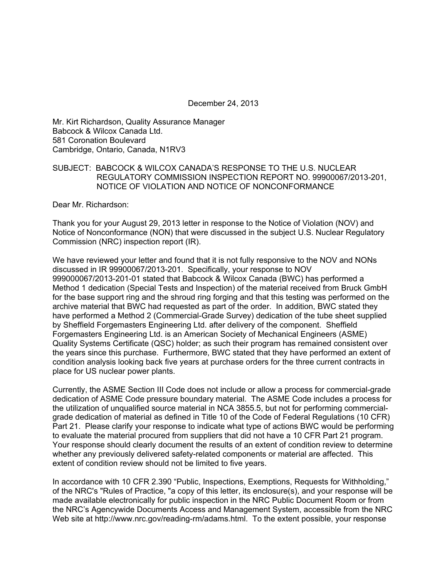December 24, 2013

Mr. Kirt Richardson, Quality Assurance Manager Babcock & Wilcox Canada Ltd. 581 Coronation Boulevard Cambridge, Ontario, Canada, N1RV3

# SUBJECT: BABCOCK & WILCOX CANADA'S RESPONSE TO THE U.S. NUCLEAR REGULATORY COMMISSION INSPECTION REPORT NO. 99900067/2013-201, NOTICE OF VIOLATION AND NOTICE OF NONCONFORMANCE

Dear Mr. Richardson:

Thank you for your August 29, 2013 letter in response to the Notice of Violation (NOV) and Notice of Nonconformance (NON) that were discussed in the subject U.S. Nuclear Regulatory Commission (NRC) inspection report (IR).

We have reviewed your letter and found that it is not fully responsive to the NOV and NONs discussed in IR 99900067/2013-201. Specifically, your response to NOV 999000067/2013-201-01 stated that Babcock & Wilcox Canada (BWC) has performed a Method 1 dedication (Special Tests and Inspection) of the material received from Bruck GmbH for the base support ring and the shroud ring forging and that this testing was performed on the archive material that BWC had requested as part of the order. In addition, BWC stated they have performed a Method 2 (Commercial-Grade Survey) dedication of the tube sheet supplied by Sheffield Forgemasters Engineering Ltd. after delivery of the component. Sheffield Forgemasters Engineering Ltd. is an American Society of Mechanical Engineers (ASME) Quality Systems Certificate (QSC) holder; as such their program has remained consistent over the years since this purchase. Furthermore, BWC stated that they have performed an extent of condition analysis looking back five years at purchase orders for the three current contracts in place for US nuclear power plants.

Currently, the ASME Section III Code does not include or allow a process for commercial-grade dedication of ASME Code pressure boundary material. The ASME Code includes a process for the utilization of unqualified source material in NCA 3855.5, but not for performing commercialgrade dedication of material as defined in Title 10 of the Code of Federal Regulations (10 CFR) Part 21. Please clarify your response to indicate what type of actions BWC would be performing to evaluate the material procured from suppliers that did not have a 10 CFR Part 21 program. Your response should clearly document the results of an extent of condition review to determine whether any previously delivered safety-related components or material are affected. This extent of condition review should not be limited to five years.

In accordance with 10 CFR 2.390 "Public, Inspections, Exemptions, Requests for Withholding," of the NRC's "Rules of Practice, "a copy of this letter, its enclosure(s), and your response will be made available electronically for public inspection in the NRC Public Document Room or from the NRC's Agencywide Documents Access and Management System, accessible from the NRC Web site at http://www.nrc.gov/reading-rm/adams.html. To the extent possible, your response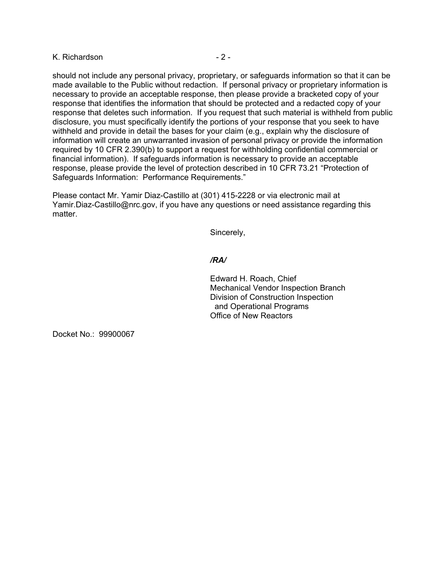# K. Richardson **- 2 -** 2 -

should not include any personal privacy, proprietary, or safeguards information so that it can be made available to the Public without redaction. If personal privacy or proprietary information is necessary to provide an acceptable response, then please provide a bracketed copy of your response that identifies the information that should be protected and a redacted copy of your response that deletes such information. If you request that such material is withheld from public disclosure, you must specifically identify the portions of your response that you seek to have withheld and provide in detail the bases for your claim (e.g., explain why the disclosure of information will create an unwarranted invasion of personal privacy or provide the information required by 10 CFR 2.390(b) to support a request for withholding confidential commercial or financial information). If safeguards information is necessary to provide an acceptable response, please provide the level of protection described in 10 CFR 73.21 "Protection of Safeguards Information: Performance Requirements."

Please contact Mr. Yamir Diaz-Castillo at (301) 415-2228 or via electronic mail at Yamir.Diaz-Castillo@nrc.gov, if you have any questions or need assistance regarding this matter.

Sincerely,

## */RA/*

Edward H. Roach, Chief Mechanical Vendor Inspection Branch Division of Construction Inspection and Operational Programs Office of New Reactors

Docket No.: 99900067